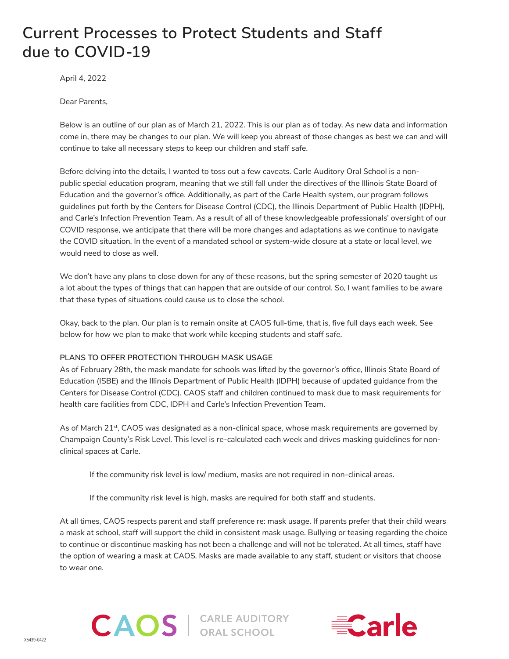# **Current Processes to Protect Students and Staff due to COVID-19**

April 4, 2022

Dear Parents,

Below is an outline of our plan as of March 21, 2022. This is our plan as of today. As new data and information come in, there may be changes to our plan. We will keep you abreast of those changes as best we can and will continue to take all necessary steps to keep our children and staff safe.

Before delving into the details, I wanted to toss out a few caveats. Carle Auditory Oral School is a nonpublic special education program, meaning that we still fall under the directives of the Illinois State Board of Education and the governor's office. Additionally, as part of the Carle Health system, our program follows guidelines put forth by the Centers for Disease Control (CDC), the Illinois Department of Public Health (IDPH), and Carle's Infection Prevention Team. As a result of all of these knowledgeable professionals' oversight of our COVID response, we anticipate that there will be more changes and adaptations as we continue to navigate the COVID situation. In the event of a mandated school or system-wide closure at a state or local level, we would need to close as well.

We don't have any plans to close down for any of these reasons, but the spring semester of 2020 taught us a lot about the types of things that can happen that are outside of our control. So, I want families to be aware that these types of situations could cause us to close the school.

Okay, back to the plan. Our plan is to remain onsite at CAOS full-time, that is, five full days each week. See below for how we plan to make that work while keeping students and staff safe.

## **PLANS TO OFFER PROTECTION THROUGH MASK USAGE**

As of February 28th, the mask mandate for schools was lifted by the governor's office, Illinois State Board of Education (ISBE) and the Illinois Department of Public Health (IDPH) because of updated guidance from the Centers for Disease Control (CDC). CAOS staff and children continued to mask due to mask requirements for health care facilities from CDC, IDPH and Carle's Infection Prevention Team.

As of March 21<sup>st</sup>, CAOS was designated as a non-clinical space, whose mask requirements are governed by Champaign County's Risk Level. This level is re-calculated each week and drives masking guidelines for nonclinical spaces at Carle.

If the community risk level is low/ medium, masks are not required in non-clinical areas.

If the community risk level is high, masks are required for both staff and students.

**CAOS** | CARLE AUDITORY

At all times, CAOS respects parent and staff preference re: mask usage. If parents prefer that their child wears a mask at school, staff will support the child in consistent mask usage. Bullying or teasing regarding the choice to continue or discontinue masking has not been a challenge and will not be tolerated. At all times, staff have the option of wearing a mask at CAOS. Masks are made available to any staff, student or visitors that choose to wear one.



X5439-0422